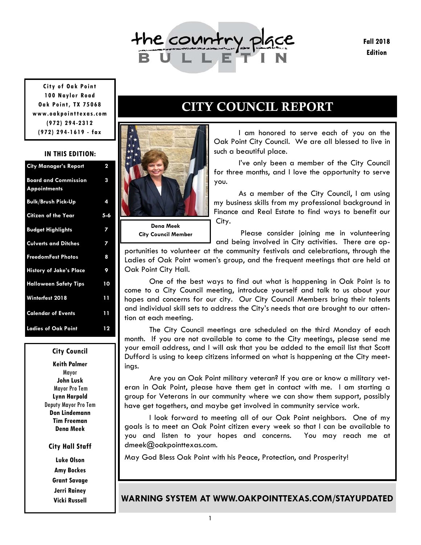

**Fall 2018 Edition** 

**City of Oak Point 100 Naylor Road Oak Point, TX 75068 www.oakpointtexas.com (972) 294-2312 (972) 294-1619 - fax**

#### **IN THIS EDITION:**

| <b>City Manager's Report</b>                       | $\overline{\mathbf{2}}$ |
|----------------------------------------------------|-------------------------|
| <b>Board and Commission</b><br><b>Appointments</b> | 3                       |
| <b>Bulk/Brush Pick-Up</b>                          | 4                       |
| <b>Citizen of the Year</b>                         | $5 - 6$                 |
| <b>Budget Highlights</b>                           | 7                       |
| <b>Culverts and Ditches</b>                        | 7                       |
| <b>FreedomFest Photos</b>                          | 8                       |
| <b>History of Jake's Place</b>                     | 9                       |
| <b>Halloween Safety Tips</b>                       | 10                      |
| Winterfest 2018                                    | 11                      |
| <b>Calendar of Events</b>                          | 11                      |
| <b>Ladies of Oak Point</b>                         | 12                      |

#### **City Council**

**Keith Palmer**  Mayor **John Lusk**  Mayor Pro Tem **Lynn Harpold**  Deputy Mayor Pro Tem **Don Lindemann Tim Freeman Dena Meek** 

#### **City Hall Staff**

**Luke Olson Amy Bockes Grant Savage Jerri Rainey Vicki Russell** 

# CITY COUNCIL REPORT



**City Council Member** 

 I am honored to serve each of you on the Oak Point City Council. We are all blessed to live in such a beautiful place.

 I've only been a member of the City Council for three months, and I love the opportunity to serve you.

 As a member of the City Council, I am using my business skills from my professional background in Finance and Real Estate to find ways to benefit our City.

 Please consider joining me in volunteering and being involved in City activities. There are op-

portunities to volunteer at the community festivals and celebrations, through the Ladies of Oak Point women's group, and the frequent meetings that are held at Oak Point City Hall.

 One of the best ways to find out what is happening in Oak Point is to come to a City Council meeting, introduce yourself and talk to us about your hopes and concerns for our city. Our City Council Members bring their talents and individual skill sets to address the City's needs that are brought to our attention at each meeting.

 The City Council meetings are scheduled on the third Monday of each month. If you are not available to come to the City meetings, please send me your email address, and I will ask that you be added to the email list that Scott Dufford is using to keep citizens informed on what is happening at the City meetings.

 Are you an Oak Point military veteran? If you are or know a military veteran in Oak Point, please have them get in contact with me. I am starting a group for Veterans in our community where we can show them support, possibly have get togethers, and maybe get involved in community service work.

 I look forward to meeting all of our Oak Point neighbors. One of my goals is to meet an Oak Point citizen every week so that I can be available to you and listen to your hopes and concerns. You may reach me at dmeek@oakpointtexas.com.

May God Bless Oak Point with his Peace, Protection, and Prosperity!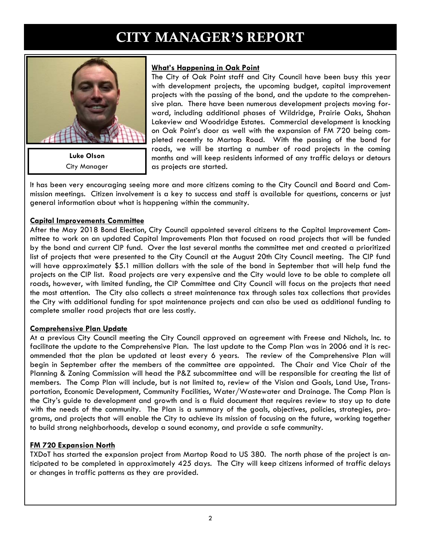# CITY MANAGER'S REPORT



**Luke Olson**  City Manager

## **What's Happening in Oak Point**

The City of Oak Point staff and City Council have been busy this year with development projects, the upcoming budget, capital improvement projects with the passing of the bond, and the update to the comprehensive plan. There have been numerous development projects moving forward, including additional phases of Wildridge, Prairie Oaks, Shahan Lakeview and Woodridge Estates. Commercial development is knocking on Oak Point's door as well with the expansion of FM 720 being completed recently to Martop Road. With the passing of the bond for roads, we will be starting a number of road projects in the coming months and will keep residents informed of any traffic delays or detours as projects are started.

It has been very encouraging seeing more and more citizens coming to the City Council and Board and Commission meetings. Citizen involvement is a key to success and staff is available for questions, concerns or just general information about what is happening within the community.

#### **Capital Improvements Committee**

After the May 2018 Bond Election, City Council appointed several citizens to the Capital Improvement Committee to work on an updated Capital Improvements Plan that focused on road projects that will be funded by the bond and current CIP fund. Over the last several months the committee met and created a prioritized list of projects that were presented to the City Council at the August 20th City Council meeting. The CIP fund will have approximately \$5.1 million dollars with the sale of the bond in September that will help fund the projects on the CIP list. Road projects are very expensive and the City would love to be able to complete all roads, however, with limited funding, the CIP Committee and City Council will focus on the projects that need the most attention. The City also collects a street maintenance tax through sales tax collections that provides the City with additional funding for spot maintenance projects and can also be used as additional funding to complete smaller road projects that are less costly.

## **Comprehensive Plan Update**

At a previous City Council meeting the City Council approved an agreement with Freese and Nichols, Inc. to facilitate the update to the Comprehensive Plan. The last update to the Comp Plan was in 2006 and it is recommended that the plan be updated at least every 6 years. The review of the Comprehensive Plan will begin in September after the members of the committee are appointed. The Chair and Vice Chair of the Planning & Zoning Commission will head the P&Z subcommittee and will be responsible for creating the list of members. The Comp Plan will include, but is not limited to, review of the Vision and Goals, Land Use, Transportation, Economic Development, Community Facilities, Water/Wastewater and Drainage. The Comp Plan is the City's guide to development and growth and is a fluid document that requires review to stay up to date with the needs of the community. The Plan is a summary of the goals, objectives, policies, strategies, programs, and projects that will enable the City to achieve its mission of focusing on the future, working together to build strong neighborhoods, develop a sound economy, and provide a safe community.

## **FM 720 Expansion North**

TXDoT has started the expansion project from Martop Road to US 380. The north phase of the project is anticipated to be completed in approximately 425 days. The City will keep citizens informed of traffic delays or changes in traffic patterns as they are provided.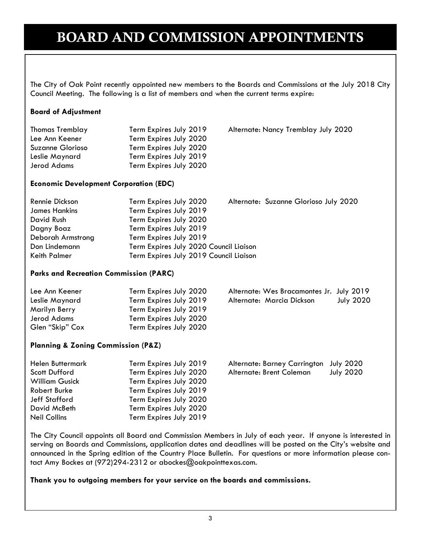# BOARD AND COMMISSION APPOINTMENTS

The City of Oak Point recently appointed new members to the Boards and Commissions at the July 2018 City Council Meeting. The following is a list of members and when the current terms expire:

Alternate: Nancy Tremblay July 2020

#### **Board of Adjustment**

| <b>Thomas Tremblay</b> | Term Expires July 2019 |
|------------------------|------------------------|
| Lee Ann Keener         | Term Expires July 2020 |
| Suzanne Glorioso       | Term Expires July 2020 |
| Leslie Maynard         | Term Expires July 2019 |
| Jerod Adams            | Term Expires July 2020 |
|                        |                        |

**Economic Development Corporation (EDC)** 

| Rennie Dickson       | Term Expires July 2020                 | Alternate: Suzanne Glorioso July 2020 |  |
|----------------------|----------------------------------------|---------------------------------------|--|
| <b>James Hankins</b> | Term Expires July 2019                 |                                       |  |
| David Rush           | Term Expires July 2020                 |                                       |  |
| Dagny Boaz           | Term Expires July 2019                 |                                       |  |
| Deborah Armstrong    | Term Expires July 2019                 |                                       |  |
| Don Lindemann        | Term Expires July 2020 Council Liaison |                                       |  |
| Keith Palmer         | Term Expires July 2019 Council Liaison |                                       |  |

#### **Parks and Recreation Commission (PARC)**

| Lee Ann Keener  | Term Expires July 2020 | Alternate: Wes Bracamontes Jr. July 2019 |                  |
|-----------------|------------------------|------------------------------------------|------------------|
| Leslie Maynard  | Term Expires July 2019 | Alternate: Marcia Dickson                | <b>July 2020</b> |
| Marilyn Berry   | Term Expires July 2019 |                                          |                  |
| Jerod Adams     | Term Expires July 2020 |                                          |                  |
| Glen "Skip" Cox | Term Expires July 2020 |                                          |                  |

#### **Planning & Zoning Commission (P&Z)**

| <b>Helen Buttermark</b> | Term Expires July 2019 | Alternate: Barney Carrington | July 2020        |
|-------------------------|------------------------|------------------------------|------------------|
| <b>Scott Dufford</b>    | Term Expires July 2020 | Alternate: Brent Coleman     | <b>July 2020</b> |
| <b>William Gusick</b>   | Term Expires July 2020 |                              |                  |
| Robert Burke            | Term Expires July 2019 |                              |                  |
| Jeff Stafford           | Term Expires July 2020 |                              |                  |
| David McBeth            | Term Expires July 2020 |                              |                  |
| <b>Neil Collins</b>     | Term Expires July 2019 |                              |                  |

The City Council appoints all Board and Commission Members in July of each year. If anyone is interested in serving on Boards and Commissions, application dates and deadlines will be posted on the City's website and announced in the Spring edition of the Country Place Bulletin. For questions or more information please contact Amy Bockes at (972)294-2312 or abockes@oakpointtexas.com.

#### **Thank you to outgoing members for your service on the boards and commissions.**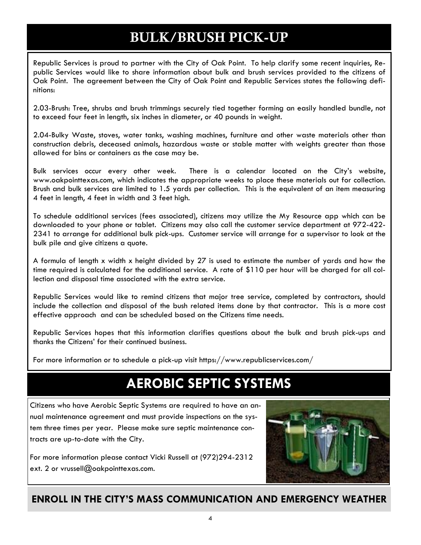# BULK/BRUSH PICK-UP

Republic Services is proud to partner with the City of Oak Point. To help clarify some recent inquiries, Republic Services would like to share information about bulk and brush services provided to the citizens of Oak Point. The agreement between the City of Oak Point and Republic Services states the following definitions:

2.03-Brush: Tree, shrubs and brush trimmings securely tied together forming an easily handled bundle, not to exceed four feet in length, six inches in diameter, or 40 pounds in weight.

2.04-Bulky Waste, stoves, water tanks, washing machines, furniture and other waste materials other than construction debris, deceased animals, hazardous waste or stable matter with weights greater than those allowed for bins or containers as the case may be.

Bulk services occur every other week. There is a calendar located on the City's website, www.oakpointtexas.com, which indicates the appropriate weeks to place these materials out for collection. Brush and bulk services are limited to 1.5 yards per collection. This is the equivalent of an item measuring 4 feet in length, 4 feet in width and 3 feet high.

To schedule additional services (fees associated), citizens may utilize the My Resource app which can be downloaded to your phone or tablet. Citizens may also call the customer service department at 972-422- 2341 to arrange for additional bulk pick-ups. Customer service will arrange for a supervisor to look at the bulk pile and give citizens a quote.

A formula of length x width x height divided by 27 is used to estimate the number of yards and how the time required is calculated for the additional service. A rate of \$110 per hour will be charged for all collection and disposal time associated with the extra service.

Republic Services would like to remind citizens that major tree service, completed by contractors, should include the collection and disposal of the bush related items done by that contractor. This is a more cost effective approach and can be scheduled based on the Citizens time needs.

Republic Services hopes that this information clarifies questions about the bulk and brush pick-ups and thanks the Citizens' for their continued business.

For more information or to schedule a pick-up visit https://www.republicservices.com/

# **AEROBIC SEPTIC SYSTEMS**

Citizens who have Aerobic Septic Systems are required to have an annual maintenance agreement and must provide inspections on the system three times per year. Please make sure septic maintenance contracts are up-to-date with the City.

For more information please contact Vicki Russell at (972)294-2312 ext. 2 or vrussell@oakpointtexas.com.

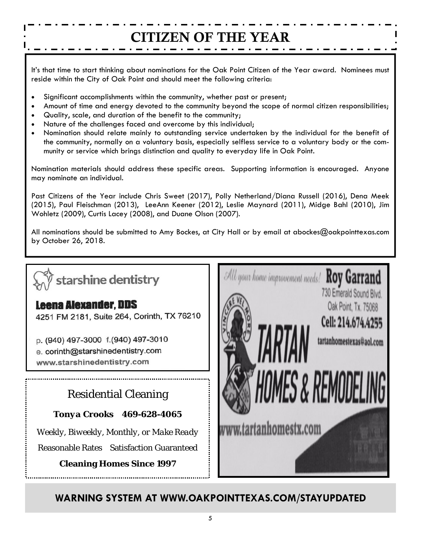# CITIZEN OF THE YEAR

It's that time to start thinking about nominations for the Oak Point Citizen of the Year award. Nominees must reside within the City of Oak Point and should meet the following criteria:

- Significant accomplishments within the community, whether past or present;
- Amount of time and energy devoted to the community beyond the scope of normal citizen responsibilities;
- Quality, scale, and duration of the benefit to the community;
- Nature of the challenges faced and overcome by this individual;
- Nomination should relate mainly to outstanding service undertaken by the individual for the benefit of the community, normally on a voluntary basis, especially selfless service to a voluntary body or the community or service which brings distinction and quality to everyday life in Oak Point.

Nomination materials should address these specific areas. Supporting information is encouraged. Anyone may nominate an individual.

Past Citizens of the Year include Chris Sweet (2017), Polly Netherland/Diana Russell (2016), Dena Meek (2015), Paul Fleischman (2013), LeeAnn Keener (2012), Leslie Maynard (2011), Midge Bahl (2010), Jim Wohletz (2009), Curtis Lacey (2008), and Duane Olson (2007).

All nominations should be submitted to Amy Bockes, at City Hall or by email at abockes@oakpointtexas.com by October 26, 2018.

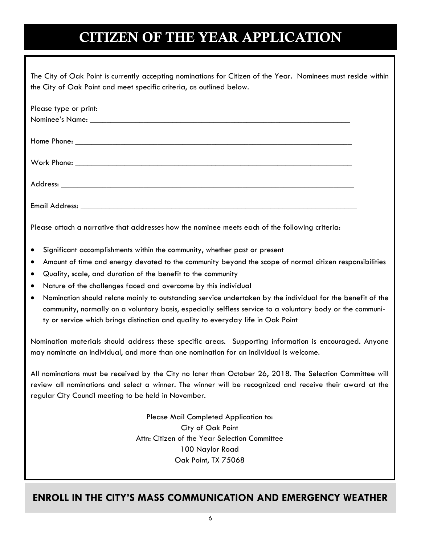# CITIZEN OF THE YEAR APPLICATION

| The City of Oak Point is currently accepting nominations for Citizen of the Year. Nominees must reside within |  |
|---------------------------------------------------------------------------------------------------------------|--|
| the City of Oak Point and meet specific criteria, as outlined below.                                          |  |

| Please type or print: |  |
|-----------------------|--|
|                       |  |
|                       |  |
|                       |  |
|                       |  |
|                       |  |
|                       |  |
|                       |  |
|                       |  |
|                       |  |
|                       |  |

Please attach a narrative that addresses how the nominee meets each of the following criteria:

- Significant accomplishments within the community, whether past or present
- Amount of time and energy devoted to the community beyond the scope of normal citizen responsibilities
- Quality, scale, and duration of the benefit to the community
- Nature of the challenges faced and overcome by this individual
- Nomination should relate mainly to outstanding service undertaken by the individual for the benefit of the community, normally on a voluntary basis, especially selfless service to a voluntary body or the community or service which brings distinction and quality to everyday life in Oak Point

Nomination materials should address these specific areas. Supporting information is encouraged. Anyone may nominate an individual, and more than one nomination for an individual is welcome.

All nominations must be received by the City no later than October 26, 2018. The Selection Committee will review all nominations and select a winner. The winner will be recognized and receive their award at the regular City Council meeting to be held in November.

> Please Mail Completed Application to: City of Oak Point Attn: Citizen of the Year Selection Committee 100 Naylor Road Oak Point, TX 75068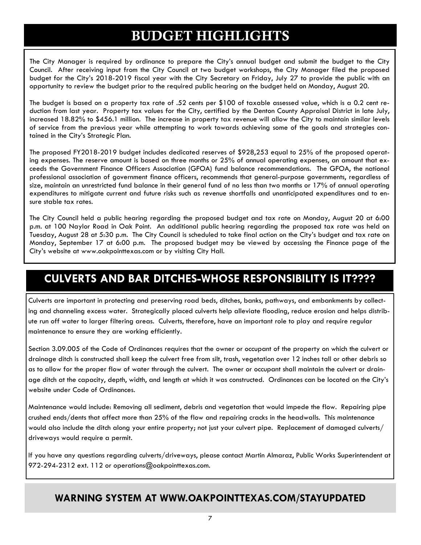# BUDGET HIGHLIGHTS

The City Manager is required by ordinance to prepare the City's annual budget and submit the budget to the City Council. After receiving input from the City Council at two budget workshops, the City Manager filed the proposed budget for the City's 2018-2019 fiscal year with the City Secretary on Friday, July 27 to provide the public with an opportunity to review the budget prior to the required public hearing on the budget held on Monday, August 20.

The budget is based on a property tax rate of .52 cents per \$100 of taxable assessed value, which is a 0.2 cent reduction from last year. Property tax values for the City, certified by the Denton County Appraisal District in late July, increased 18.82% to \$456.1 million. The increase in property tax revenue will allow the City to maintain similar levels of service from the previous year while attempting to work towards achieving some of the goals and strategies contained in the City's Strategic Plan.

The proposed FY2018-2019 budget includes dedicated reserves of \$928,253 equal to 25% of the proposed operating expenses. The reserve amount is based on three months or 25% of annual operating expenses, an amount that exceeds the Government Finance Officers Association (GFOA) fund balance recommendations. The GFOA, the national professional association of government finance officers, recommends that general-purpose governments, regardless of size, maintain an unrestricted fund balance in their general fund of no less than two months or 17% of annual operating expenditures to mitigate current and future risks such as revenue shortfalls and unanticipated expenditures and to ensure stable tax rates.

The City Council held a public hearing regarding the proposed budget and tax rate on Monday, August 20 at 6:00 p.m. at 100 Naylor Road in Oak Point. An additional public hearing regarding the proposed tax rate was held on Tuesday, August 28 at 5:30 p.m. The City Council is scheduled to take final action on the City's budget and tax rate on Monday, September 17 at 6:00 p.m. The proposed budget may be viewed by accessing the Finance page of the City's website at www.oakpointtexas.com or by visiting City Hall.

## **CULVERTS AND BAR DITCHES-WHOSE RESPONSIBILITY IS IT????**

Culverts are important in protecting and preserving road beds, ditches, banks, pathways, and embankments by collecting and channeling excess water. Strategically placed culverts help alleviate flooding, reduce erosion and helps distribute run off water to larger filtering areas. Culverts, therefore, have an important role to play and require regular maintenance to ensure they are working efficiently.

Section 3.09.005 of the Code of Ordinances requires that the owner or occupant of the property on which the culvert or drainage ditch is constructed shall keep the culvert free from silt, trash, vegetation over 12 inches tall or other debris so as to allow for the proper flow of water through the culvert. The owner or occupant shall maintain the culvert or drainage ditch at the capacity, depth, width, and length at which it was constructed. Ordinances can be located on the City's website under Code of Ordinances.

Maintenance would include: Removing all sediment, debris and vegetation that would impede the flow. Repairing pipe crushed ends/dents that affect more than 25% of the flow and repairing cracks in the headwalls. This maintenance would also include the ditch along your entire property; not just your culvert pipe. Replacement of damaged culverts/ driveways would require a permit.

If you have any questions regarding culverts/driveways, please contact Martin Almaraz, Public Works Superintendent at 972-294-2312 ext. 112 or operations@oakpointtexas.com.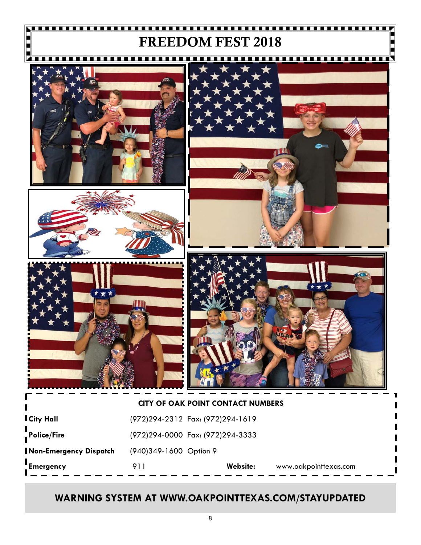# FREEDOM FEST 2018









|                        |                        | <b>CITY OF OAK POINT CONTACT NUMBERS</b> |                       |
|------------------------|------------------------|------------------------------------------|-----------------------|
| l City Hall            |                        | (972)294-2312 Fax: (972)294-1619         |                       |
| Police/Fire            |                        | (972)294-0000 Fax: (972)294-3333         |                       |
| Non-Emergency Dispatch | (940)349-1600 Option 9 |                                          |                       |
|                        |                        |                                          |                       |
| Emergency              | 911                    | Website:                                 | www.oakpointtexas.com |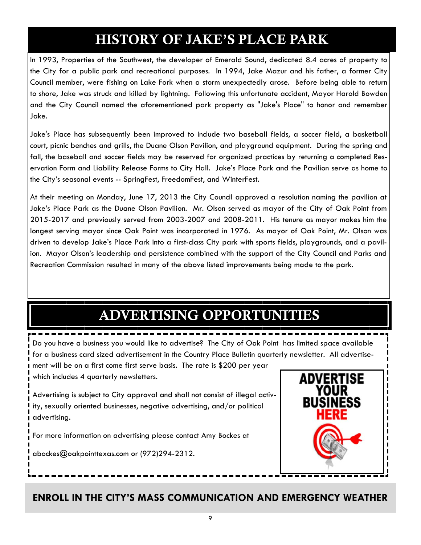# HISTORY OF JAKE'S PLACE PARK

In 1993, Properties of the Southwest, the developer of Emerald Sound, dedicated 8.4 acres of property to the City for a public park and recreational purposes. In 1994, Jake Mazur and his father, a former City Council member, were fishing on Lake Fork when a storm unexpectedly arose. Before being able to return to shore, Jake was struck and killed by lightning. Following this unfortunate accident, Mayor Harold Bowden and the City Council named the aforementioned park property as "Jake's Place" to honor and remember Jake.

Jake's Place has subsequently been improved to include two baseball fields, a soccer field, a basketball court, picnic benches and grills, the Duane Olson Pavilion, and playground equipment. During the spring and fall, the baseball and soccer fields may be reserved for organized practices by returning a completed Reservation Form and Liability Release Forms to City Hall. Jake's Place Park and the Pavilion serve as home to the City's seasonal events -- SpringFest, FreedomFest, and WinterFest.

At their meeting on Monday, June 17, 2013 the City Council approved a resolution naming the pavilion at Jake's Place Park as the Duane Olson Pavilion. Mr. Olson served as mayor of the City of Oak Point from 2015-2017 and previously served from 2003-2007 and 2008-2011. His tenure as mayor makes him the longest serving mayor since Oak Point was incorporated in 1976. As mayor of Oak Point, Mr. Olson was driven to develop Jake's Place Park into a first-class City park with sports fields, playgrounds, and a pavilion. Mayor Olson's leadership and persistence combined with the support of the City Council and Parks and Recreation Commission resulted in many of the above listed improvements being made to the park.

# ADVERTISING OPPORTUNITIES

Do you have a business you would like to advertise? The City of Oak Point has limited space available for a business card sized advertisement in the Country Place Bulletin quarterly newsletter. All advertisement will be on a first come first serve basis. The rate is \$200 per year which includes 4 quarterly newsletters.

Advertising is subject to City approval and shall not consist of illegal activity, sexually oriented businesses, negative advertising, and/or political advertising.

For more information on advertising please contact Amy Bockes at

abockes@oakpointtexas.com or (972)294-2312.

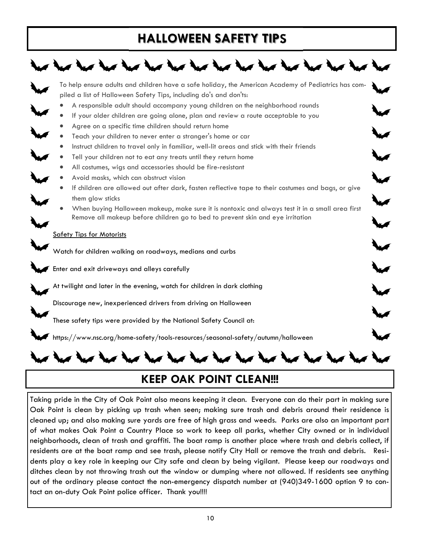# **HALLOWEEN SAFETY TIPS**



## **KEEP OAK POINT CLEAN!!!**

Taking pride in the City of Oak Point also means keeping it clean. Everyone can do their part in making sure Oak Point is clean by picking up trash when seen; making sure trash and debris around their residence is cleaned up; and also making sure yards are free of high grass and weeds. Parks are also an important part of what makes Oak Point a Country Place so work to keep all parks, whether City owned or in individual neighborhoods, clean of trash and graffiti. The boat ramp is another place where trash and debris collect, if residents are at the boat ramp and see trash, please notify City Hall or remove the trash and debris. Residents play a key role in keeping our City safe and clean by being vigilant. Please keep our roadways and ditches clean by not throwing trash out the window or dumping where not allowed. If residents see anything out of the ordinary please contact the non-emergency dispatch number at (940)349-1600 option 9 to contact an on-duty Oak Point police officer. Thank you!!!!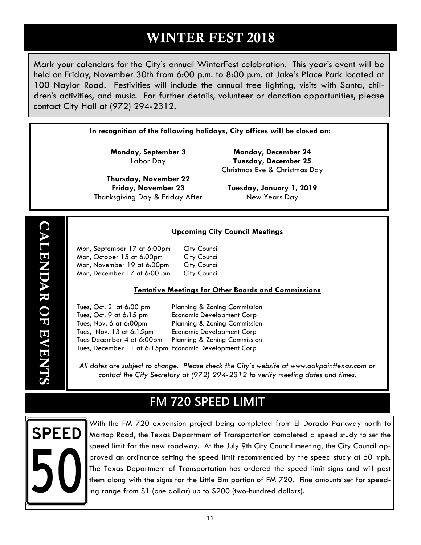# WINTER FEST 2018

Mark your calendars for the City's annual WinterFest celebration. This year's event will be held on Friday, November 30th from 6:00 p.m. to 8:00 p.m. at Jake's Place Park located at 100 Naylor Road. Festivities will include the annual tree lighting, visits with Santa, children's activities, and music. For further details, volunteer or donation opportunities, please contact City Hall at (972) 294-2312.

**In recognition of the following holidays, City offices will be closed on:** 

**Monday, September 3**  Labor Day

**Thursday, November 22 Friday, November 23**  Thanksgiving Day & Friday After

**Monday, December 24 Tuesday, December 25**  Christmas Eve & Christmas Day

**Tuesday, January 1, 2019**  New Years Day

## **Upcoming City Council Meetings**

| Mon, September 17 at 6:00pm | <b>City Council</b> |
|-----------------------------|---------------------|
| Mon, October 15 at 6:00pm   | <b>City Council</b> |
| Mon, November 19 at 6:00pm  | <b>City Council</b> |
| Mon, December 17 at 6:00 pm | <b>City Council</b> |

#### **Tentative Meetings for Other Boards and Commissions**

 Tues, Oct. 2 at 6:00 pm Planning & Zoning Commission Tues, Oct. 9 at 6:15 pm Economic Development Corp Tues, Nov. 6 at 6:00pm Planning & Zoning Commission Tues, Nov. 13 at 6:15pm Economic Development Corp Tues December 4 at 6:00pm Planning & Zoning Commission Tues, December 11 at 6:15pm Economic Development Corp

*All dates are subject to change. Please check the City's website at www.oakpointtexas.com or contact the City Secretary at (972) 294-2312 to verify meeting dates and times.*

# **FM 720 SPEED LIMIT**



With the FM 720 expansion project being completed from El Dorado Parkway north to Martop Road, the Texas Department of Transportation completed a speed study to set the speed limit for the new roadway. At the July 9th City Council meeting, the City Council approved an ordinance setting the speed limit recommended by the speed study at 50 mph. The Texas Department of Transportation has ordered the speed limit signs and will post them along with the signs for the Little Elm portion of FM 720. Fine amounts set for speeding range from \$1 (one dollar) up to \$200 (two-hundred dollars).